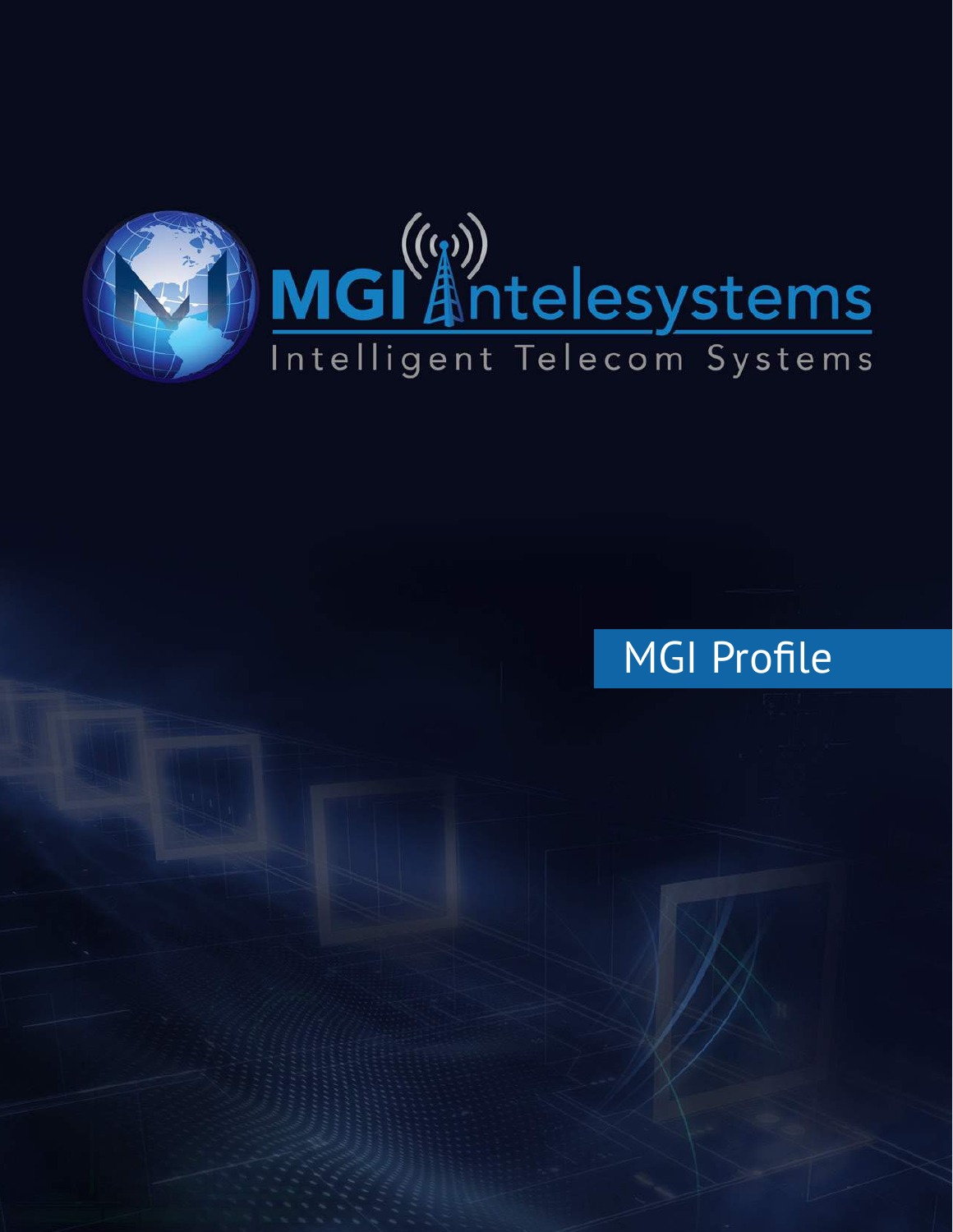

## MGI Profile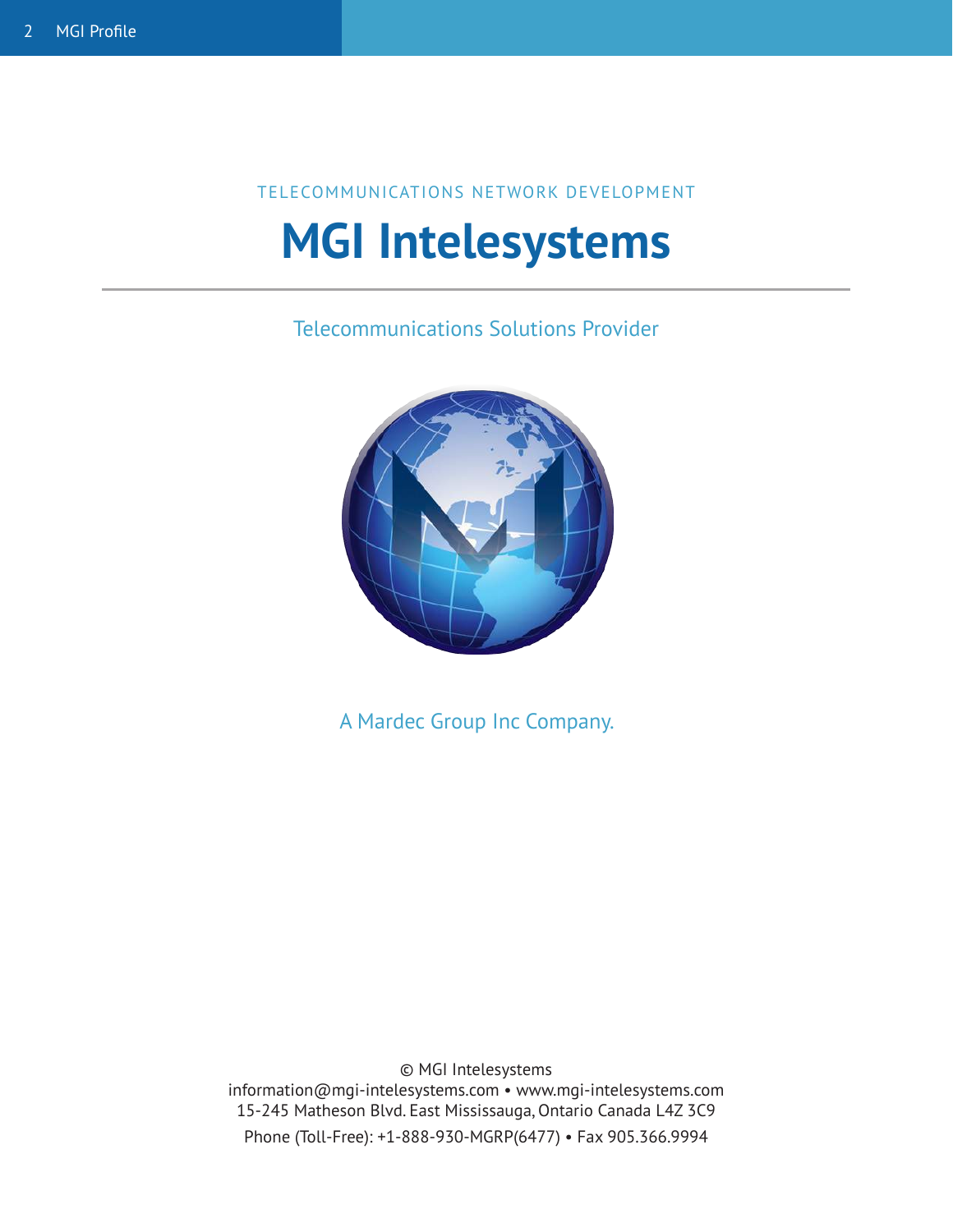#### TELECOMMUNICATIONS NETWORK DEVELOPMENT

# **MGI Intelesystems**

Telecommunications Solutions Provider



A Mardec Group Inc Company.

© MGI Intelesystems information@mgi-intelesystems.com • www.mgi-intelesystems.com 15-245 Matheson Blvd. East Mississauga, Ontario Canada L4Z 3C9 Phone (Toll-Free): +1-888-930-MGRP(6477) • Fax 905.366.9994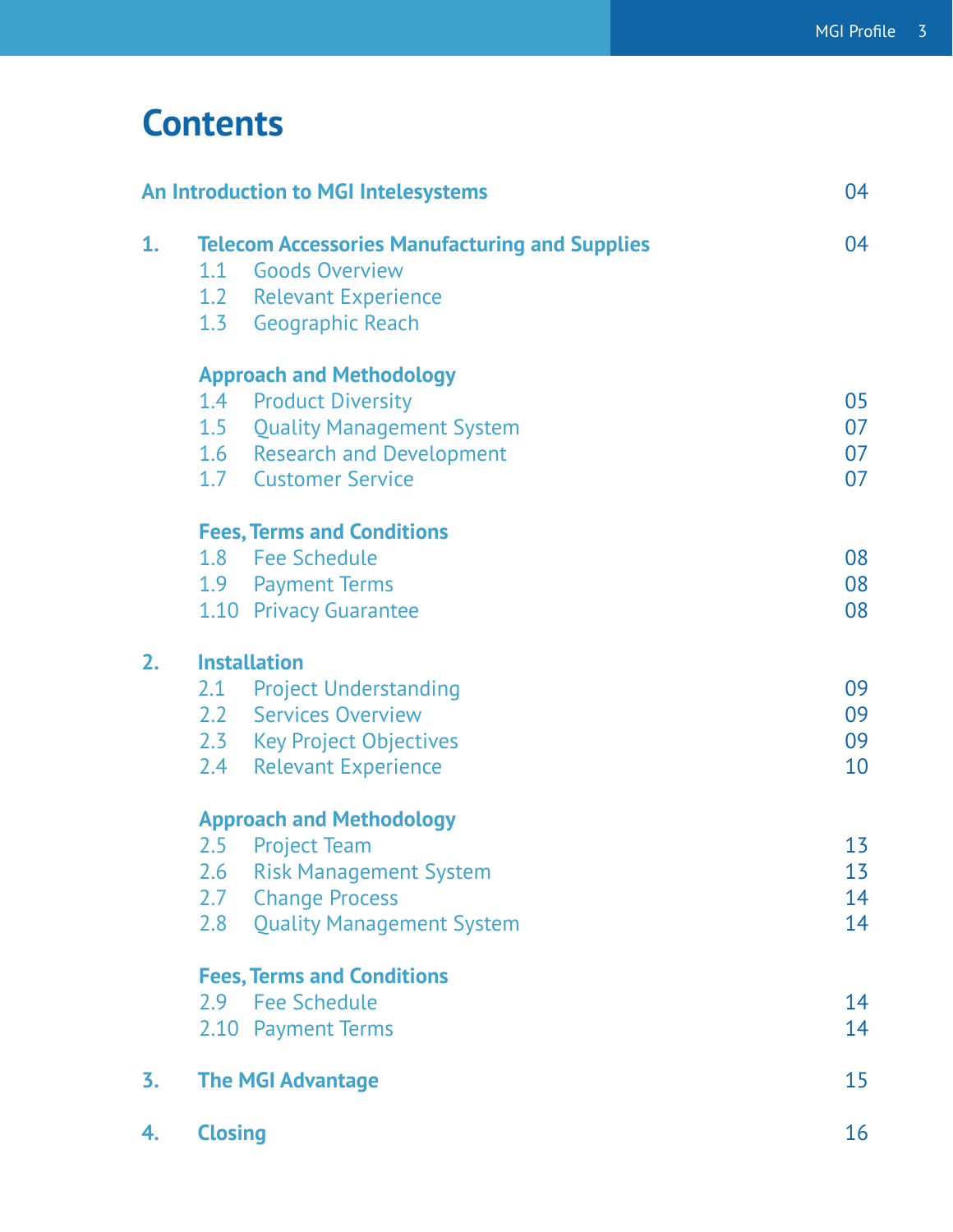## **Contents**

| An Introduction to MGI Intelesystems |                                                       |                                   | 04 |
|--------------------------------------|-------------------------------------------------------|-----------------------------------|----|
| 1.                                   | <b>Telecom Accessories Manufacturing and Supplies</b> |                                   | 04 |
|                                      |                                                       | 1.1 Goods Overview                |    |
|                                      |                                                       | 1.2 Relevant Experience           |    |
|                                      |                                                       | 1.3 Geographic Reach              |    |
|                                      |                                                       | <b>Approach and Methodology</b>   |    |
|                                      |                                                       | 1.4 Product Diversity             | 05 |
|                                      |                                                       | 1.5 Quality Management System     | 07 |
|                                      |                                                       | 1.6 Research and Development      | 07 |
|                                      |                                                       | 1.7 Customer Service              | 07 |
|                                      |                                                       | <b>Fees, Terms and Conditions</b> |    |
|                                      |                                                       | 1.8 Fee Schedule                  | 08 |
|                                      |                                                       | 1.9 Payment Terms                 | 08 |
|                                      |                                                       | 1.10 Privacy Guarantee            | 08 |
| 2.                                   | <b>Installation</b>                                   |                                   |    |
|                                      |                                                       | 2.1 Project Understanding         | 09 |
|                                      |                                                       | 2.2 Services Overview             | 09 |
|                                      |                                                       | 2.3 Key Project Objectives        | 09 |
|                                      | 2.4                                                   | <b>Relevant Experience</b>        | 10 |
|                                      | <b>Approach and Methodology</b>                       |                                   |    |
|                                      |                                                       | 2.5 Project Team                  | 13 |
|                                      | 2.6                                                   | <b>Risk Management System</b>     | 13 |
|                                      | 2.7                                                   | <b>Change Process</b>             | 14 |
|                                      | 2.8                                                   | <b>Quality Management System</b>  | 14 |
|                                      | <b>Fees, Terms and Conditions</b>                     |                                   |    |
|                                      |                                                       | 2.9 Fee Schedule                  | 14 |
|                                      |                                                       | 2.10 Payment Terms                | 14 |
| 3.                                   | <b>The MGI Advantage</b>                              |                                   | 15 |
| 4.                                   | <b>Closing</b>                                        |                                   | 16 |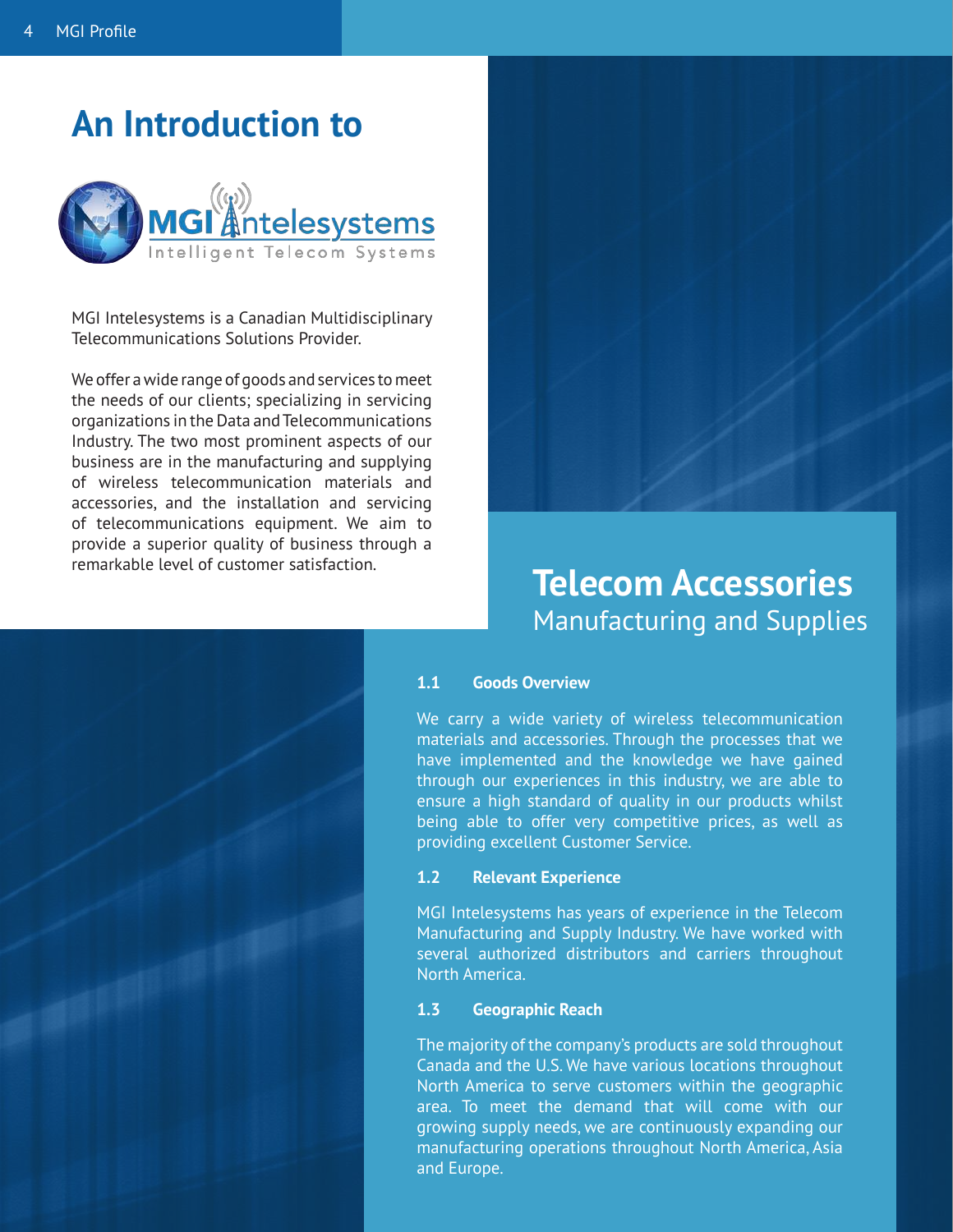## **An Introduction to**



MGI Intelesystems is a Canadian Multidisciplinary Telecommunications Solutions Provider.

We offer a wide range of goods and services to meet the needs of our clients; specializing in servicing organizations in the Data and Telecommunications Industry. The two most prominent aspects of our business are in the manufacturing and supplying of wireless telecommunication materials and accessories, and the installation and servicing of telecommunications equipment. We aim to provide a superior quality of business through a remarkable level of customer satisfaction.

## **Telecom Accessories** Manufacturing and Supplies

#### **1.1 Goods Overview**

We carry a wide variety of wireless telecommunication materials and accessories. Through the processes that we have implemented and the knowledge we have gained through our experiences in this industry, we are able to ensure a high standard of quality in our products whilst being able to offer very competitive prices, as well as providing excellent Customer Service.

#### **1.2 Relevant Experience**

MGI Intelesystems has years of experience in the Telecom Manufacturing and Supply Industry. We have worked with several authorized distributors and carriers throughout North America.

#### **1.3 Geographic Reach**

The majority of the company's products are sold throughout Canada and the U.S. We have various locations throughout North America to serve customers within the geographic area. To meet the demand that will come with our growing supply needs, we are continuously expanding our manufacturing operations throughout North America, Asia and Europe.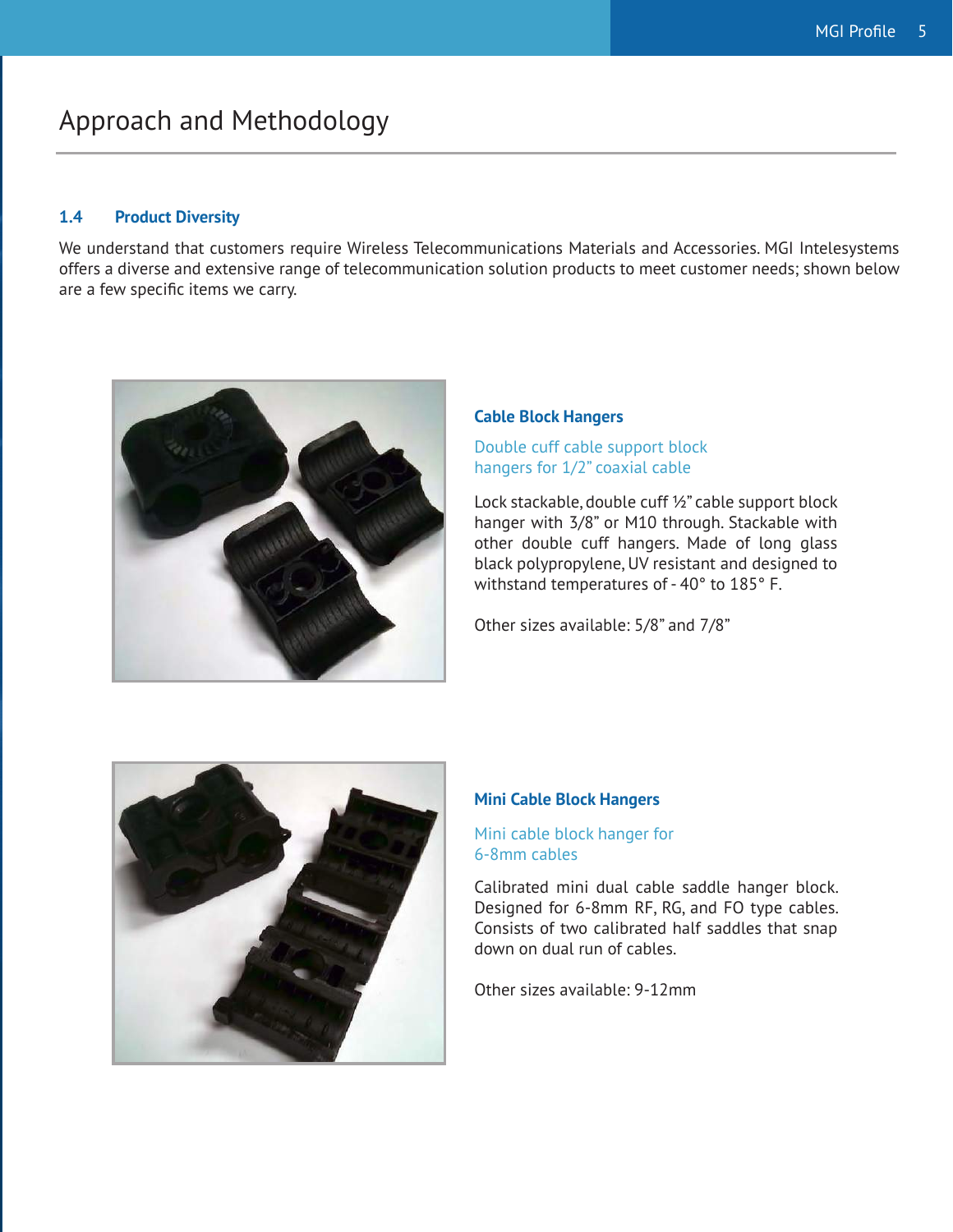## Approach and Methodology

#### **1.4 Product Diversity**

We understand that customers require Wireless Telecommunications Materials and Accessories. MGI Intelesystems offers a diverse and extensive range of telecommunication solution products to meet customer needs; shown below are a few specific items we carry.



#### **Cable Block Hangers**

Double cuff cable support block hangers for 1/2" coaxial cable

Lock stackable, double cuff ½" cable support block hanger with 3/8" or M10 through. Stackable with other double cuff hangers. Made of long glass black polypropylene, UV resistant and designed to withstand temperatures of - 40° to 185° F.

Other sizes available: 5/8" and 7/8"



#### **Mini Cable Block Hangers**

#### Mini cable block hanger for 6-8mm cables

Calibrated mini dual cable saddle hanger block. Designed for 6-8mm RF, RG, and FO type cables. Consists of two calibrated half saddles that snap down on dual run of cables.

Other sizes available: 9-12mm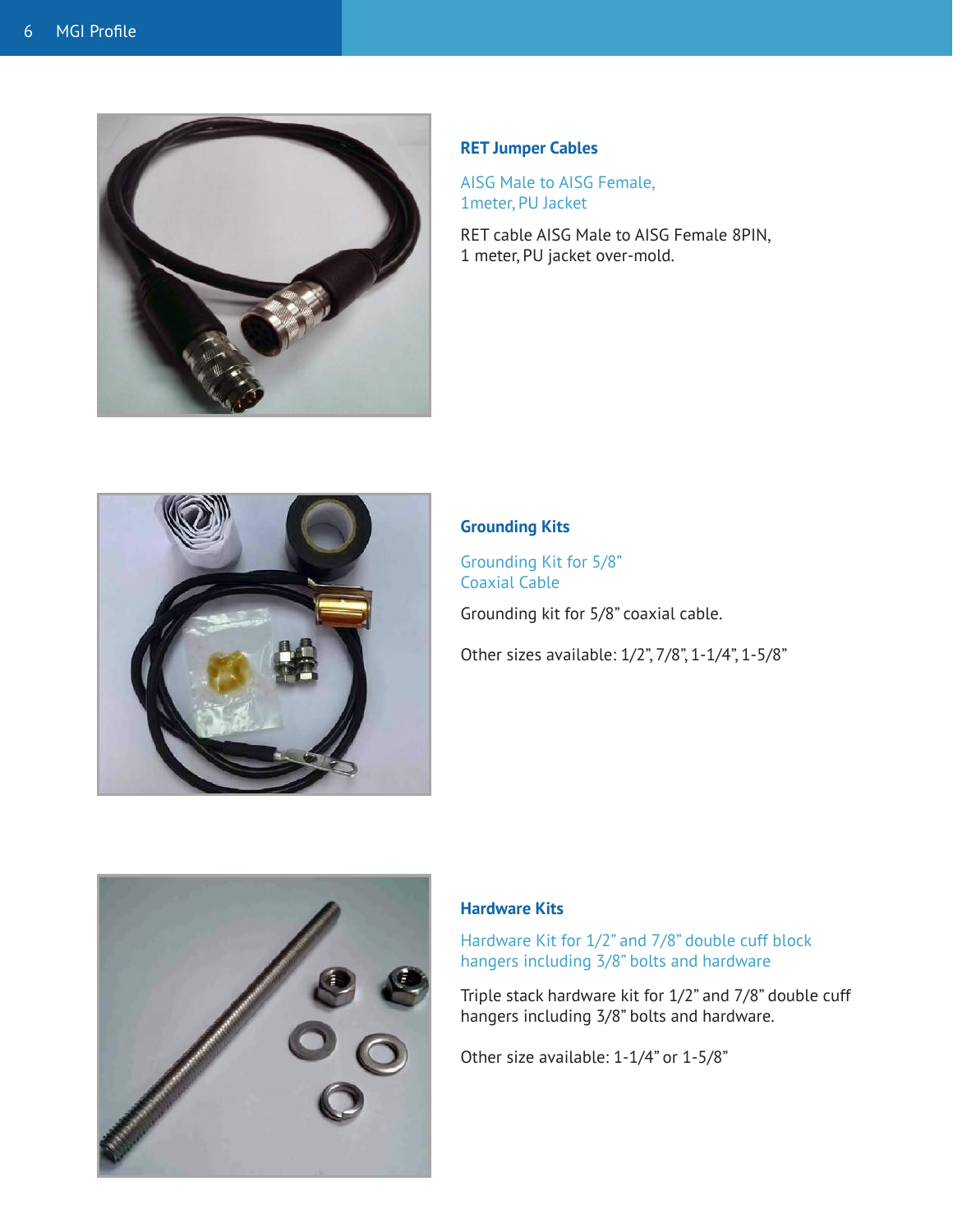

#### **RET Jumper Cables**

AISG Male to AISG Female, 1meter, PU Jacket

RET cable AISG Male to AISG Female 8PIN, 1 meter, PU jacket over-mold.



#### **Grounding Kits**

Grounding Kit for 5/8" Coaxial Cable

Grounding kit for 5/8" coaxial cable.

Other sizes available: 1/2", 7/8", 1-1/4", 1-5/8"



#### **Hardware Kits**

Hardware Kit for 1/2" and 7/8" double cuff block hangers including 3/8" bolts and hardware

Triple stack hardware kit for 1/2" and 7/8" double cuff hangers including 3/8" bolts and hardware.

Other size available: 1-1/4" or 1-5/8"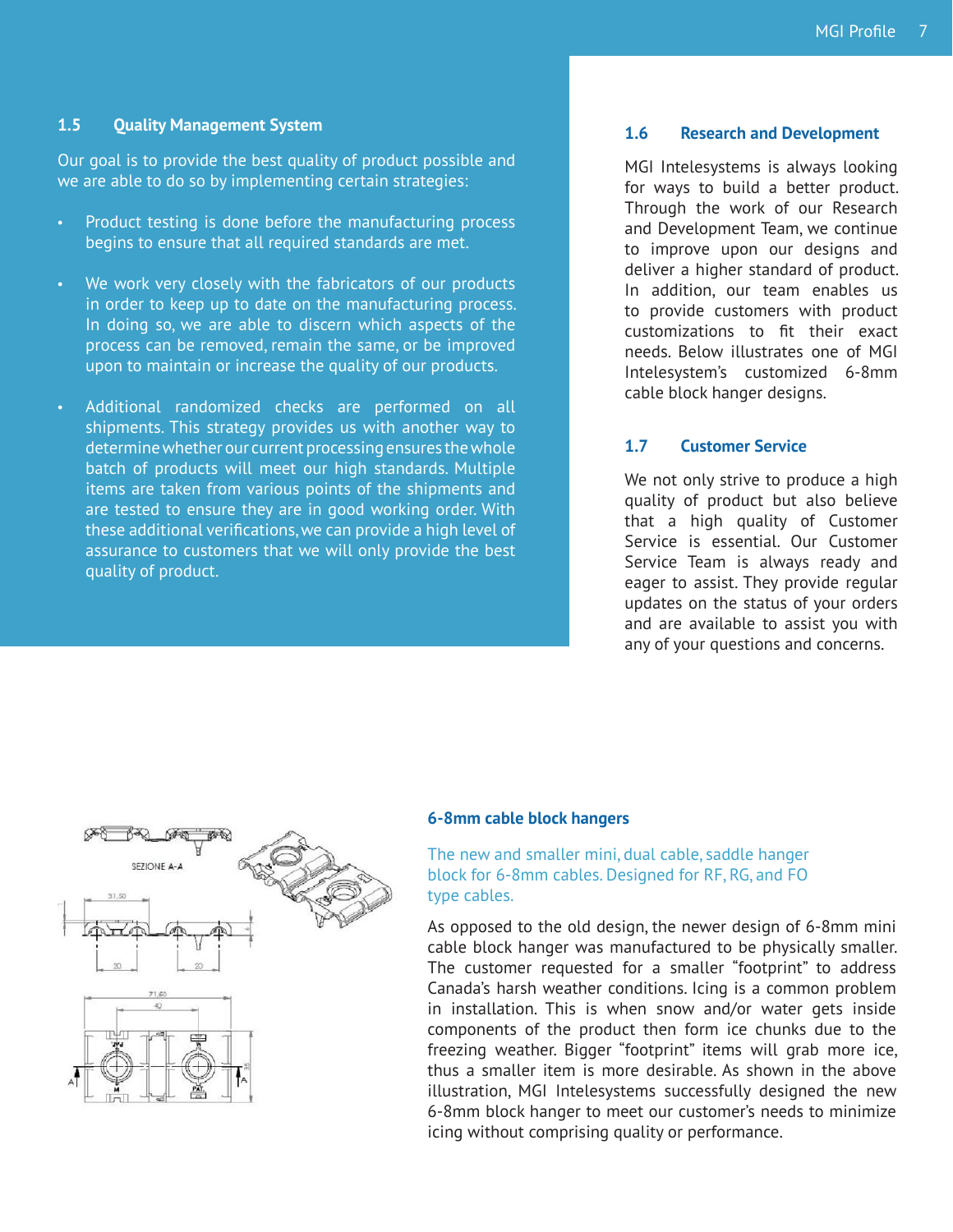#### **1.5 Quality Management System**

Our goal is to provide the best quality of product possible and we are able to do so by implementing certain strategies:

- Product testing is done before the manufacturing process begins to ensure that all required standards are met.
- We work very closely with the fabricators of our products in order to keep up to date on the manufacturing process. In doing so, we are able to discern which aspects of the process can be removed, remain the same, or be improved upon to maintain or increase the quality of our products.
- Additional randomized checks are performed on all shipments. This strategy provides us with another way to determine whether our current processing ensures the whole batch of products will meet our high standards. Multiple items are taken from various points of the shipments and are tested to ensure they are in good working order. With these additional verifications, we can provide a high level of assurance to customers that we will only provide the best quality of product.

#### **1.6 Research and Development**

MGI Intelesystems is always looking for ways to build a better product. Through the work of our Research and Development Team, we continue to improve upon our designs and deliver a higher standard of product. In addition, our team enables us to provide customers with product customizations to fit their exact needs. Below illustrates one of MGI Intelesystem's customized 6-8mm cable block hanger designs.

#### **1.7 Customer Service**

We not only strive to produce a high quality of product but also believe that a high quality of Customer Service is essential. Our Customer Service Team is always ready and eager to assist. They provide regular updates on the status of your orders and are available to assist you with any of your questions and concerns.



#### **6-8mm cable block hangers**

#### The new and smaller mini, dual cable, saddle hanger block for 6-8mm cables. Designed for RF, RG, and FO type cables.

As opposed to the old design, the newer design of 6-8mm mini cable block hanger was manufactured to be physically smaller. The customer requested for a smaller "footprint" to address Canada's harsh weather conditions. Icing is a common problem in installation. This is when snow and/or water gets inside components of the product then form ice chunks due to the freezing weather. Bigger "footprint" items will grab more ice, thus a smaller item is more desirable. As shown in the above illustration, MGI Intelesystems successfully designed the new 6-8mm block hanger to meet our customer's needs to minimize icing without comprising quality or performance.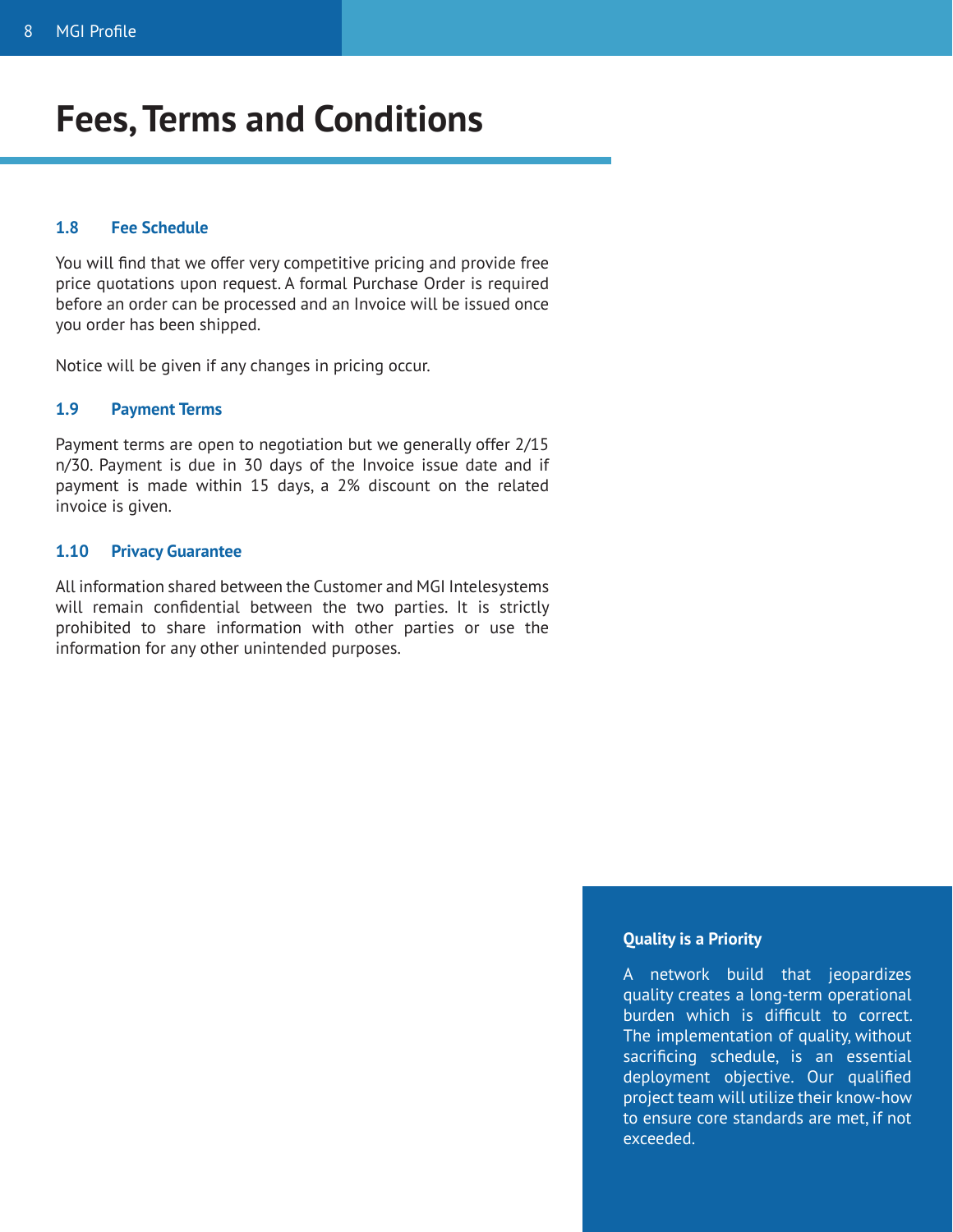## **Fees, Terms and Conditions**

#### **1.8 Fee Schedule**

You will find that we offer very competitive pricing and provide free price quotations upon request. A formal Purchase Order is required before an order can be processed and an Invoice will be issued once you order has been shipped.

Notice will be given if any changes in pricing occur.

#### **1.9 Payment Terms**

Payment terms are open to negotiation but we generally offer 2/15 n/30. Payment is due in 30 days of the Invoice issue date and if payment is made within 15 days, a 2% discount on the related invoice is given.

#### **1.10 Privacy Guarantee**

All information shared between the Customer and MGI Intelesystems will remain confidential between the two parties. It is strictly prohibited to share information with other parties or use the information for any other unintended purposes.

#### **Quality is a Priority**

A network build that jeopardizes quality creates a long-term operational burden which is difficult to correct. The implementation of quality, without sacrificing schedule, is an essential deployment objective. Our qualified project team will utilize their know-how to ensure core standards are met, if not exceeded.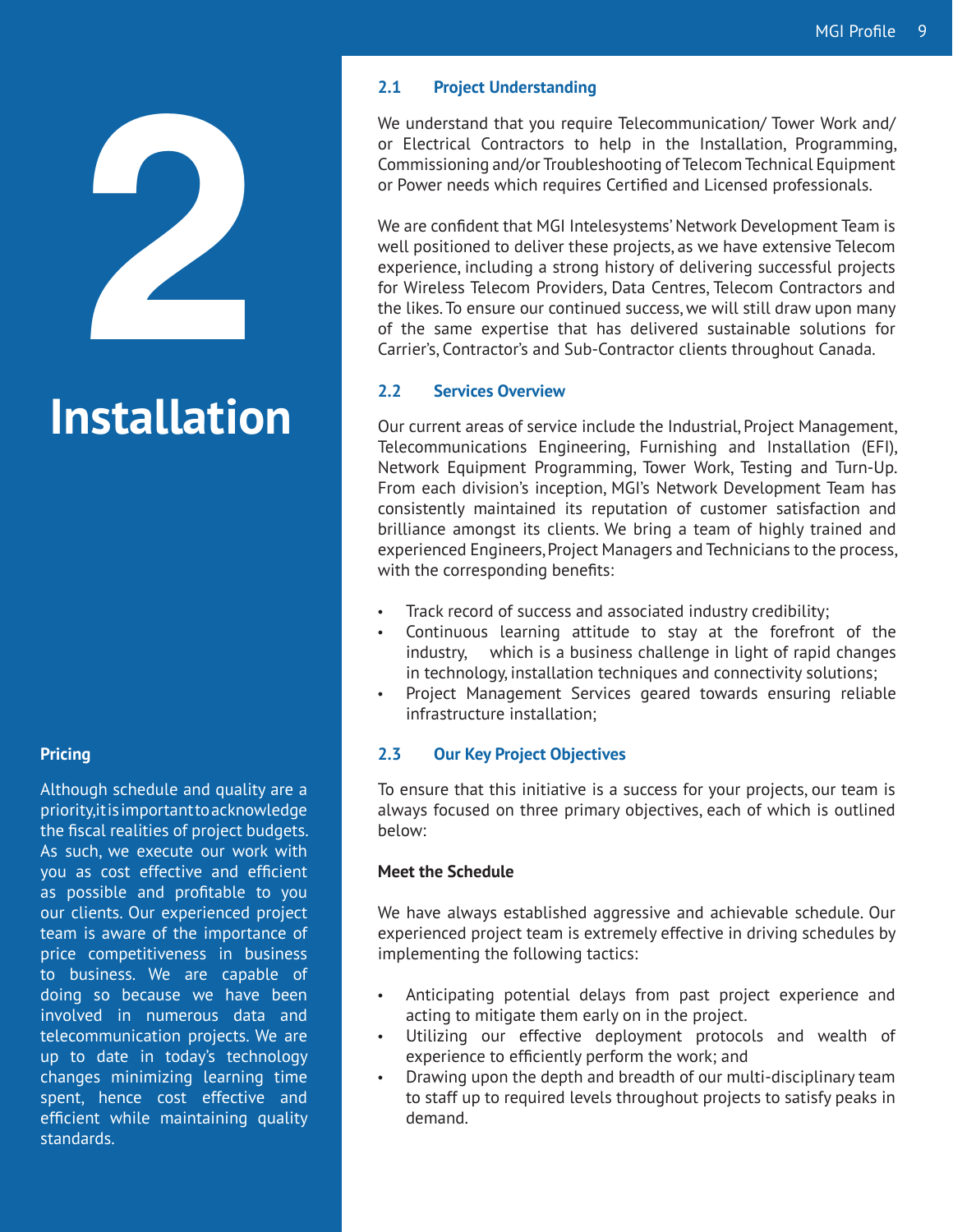

# **Installation**

#### **Pricing**

Although schedule and quality are a priority, it is important to acknowledge the fiscal realities of project budgets. As such, we execute our work with you as cost effective and efficient as possible and profitable to you our clients. Our experienced project team is aware of the importance of price competitiveness in business to business. We are capable of doing so because we have been involved in numerous data and telecommunication projects. We are up to date in today's technology changes minimizing learning time spent, hence cost effective and efficient while maintaining quality standards.

#### **2.1 Project Understanding**

We understand that you require Telecommunication/ Tower Work and/ or Electrical Contractors to help in the Installation, Programming, Commissioning and/or Troubleshooting of Telecom Technical Equipment or Power needs which requires Certified and Licensed professionals.

We are confident that MGI Intelesystems' Network Development Team is well positioned to deliver these projects, as we have extensive Telecom experience, including a strong history of delivering successful projects for Wireless Telecom Providers, Data Centres, Telecom Contractors and the likes. To ensure our continued success, we will still draw upon many of the same expertise that has delivered sustainable solutions for Carrier's, Contractor's and Sub-Contractor clients throughout Canada.

#### **2.2 Services Overview**

Our current areas of service include the Industrial, Project Management, Telecommunications Engineering, Furnishing and Installation (EFI), Network Equipment Programming, Tower Work, Testing and Turn-Up. From each division's inception, MGI's Network Development Team has consistently maintained its reputation of customer satisfaction and brilliance amongst its clients. We bring a team of highly trained and experienced Engineers, Project Managers and Technicians to the process, with the corresponding benefits:

- Track record of success and associated industry credibility;
- Continuous learning attitude to stay at the forefront of the industry, which is a business challenge in light of rapid changes in technology, installation techniques and connectivity solutions;
- Project Management Services geared towards ensuring reliable infrastructure installation;

#### **2.3 Our Key Project Objectives**

To ensure that this initiative is a success for your projects, our team is always focused on three primary objectives, each of which is outlined below:

#### **Meet the Schedule**

We have always established aggressive and achievable schedule. Our experienced project team is extremely effective in driving schedules by implementing the following tactics:

- • Anticipating potential delays from past project experience and acting to mitigate them early on in the project.
- • Utilizing our effective deployment protocols and wealth of experience to efficiently perform the work; and
- Drawing upon the depth and breadth of our multi-disciplinary team to staff up to required levels throughout projects to satisfy peaks in demand.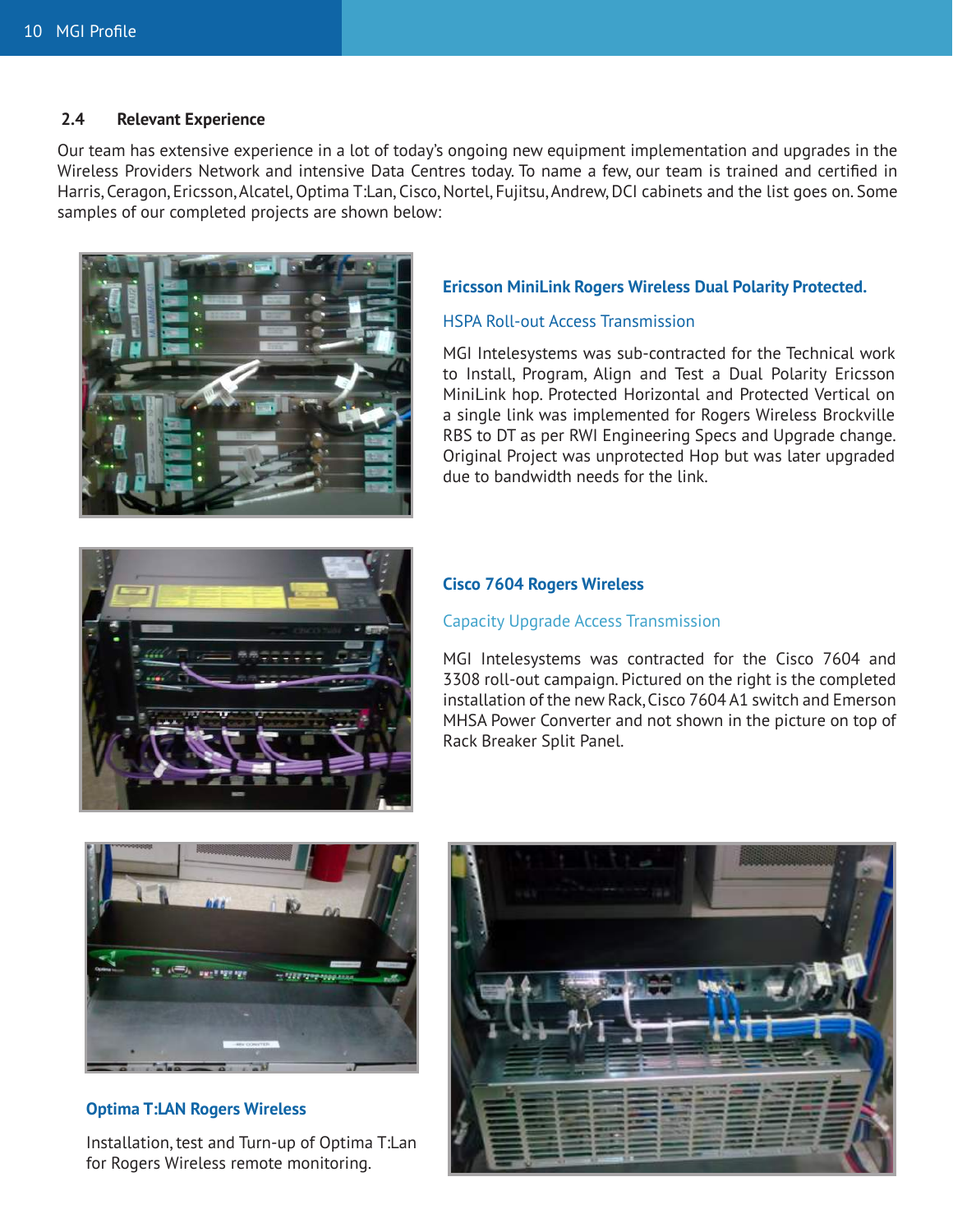#### **2.4 Relevant Experience**

Our team has extensive experience in a lot of today's ongoing new equipment implementation and upgrades in the Wireless Providers Network and intensive Data Centres today. To name a few, our team is trained and certified in Harris, Ceragon, Ericsson, Alcatel, Optima T:Lan, Cisco, Nortel, Fujitsu, Andrew, DCI cabinets and the list goes on. Some samples of our completed projects are shown below:



#### **Ericsson MiniLink Rogers Wireless Dual Polarity Protected.**

#### HSPA Roll-out Access Transmission

MGI Intelesystems was sub-contracted for the Technical work to Install, Program, Align and Test a Dual Polarity Ericsson MiniLink hop. Protected Horizontal and Protected Vertical on a single link was implemented for Rogers Wireless Brockville RBS to DT as per RWI Engineering Specs and Upgrade change. Original Project was unprotected Hop but was later upgraded due to bandwidth needs for the link.



#### **Cisco 7604 Rogers Wireless**

#### Capacity Upgrade Access Transmission

MGI Intelesystems was contracted for the Cisco 7604 and 3308 roll-out campaign. Pictured on the right is the completed installation of the new Rack, Cisco 7604 A1 switch and Emerson MHSA Power Converter and not shown in the picture on top of Rack Breaker Split Panel.



#### **Optima T:LAN Rogers Wireless**

Installation, test and Turn-up of Optima T:Lan for Rogers Wireless remote monitoring.

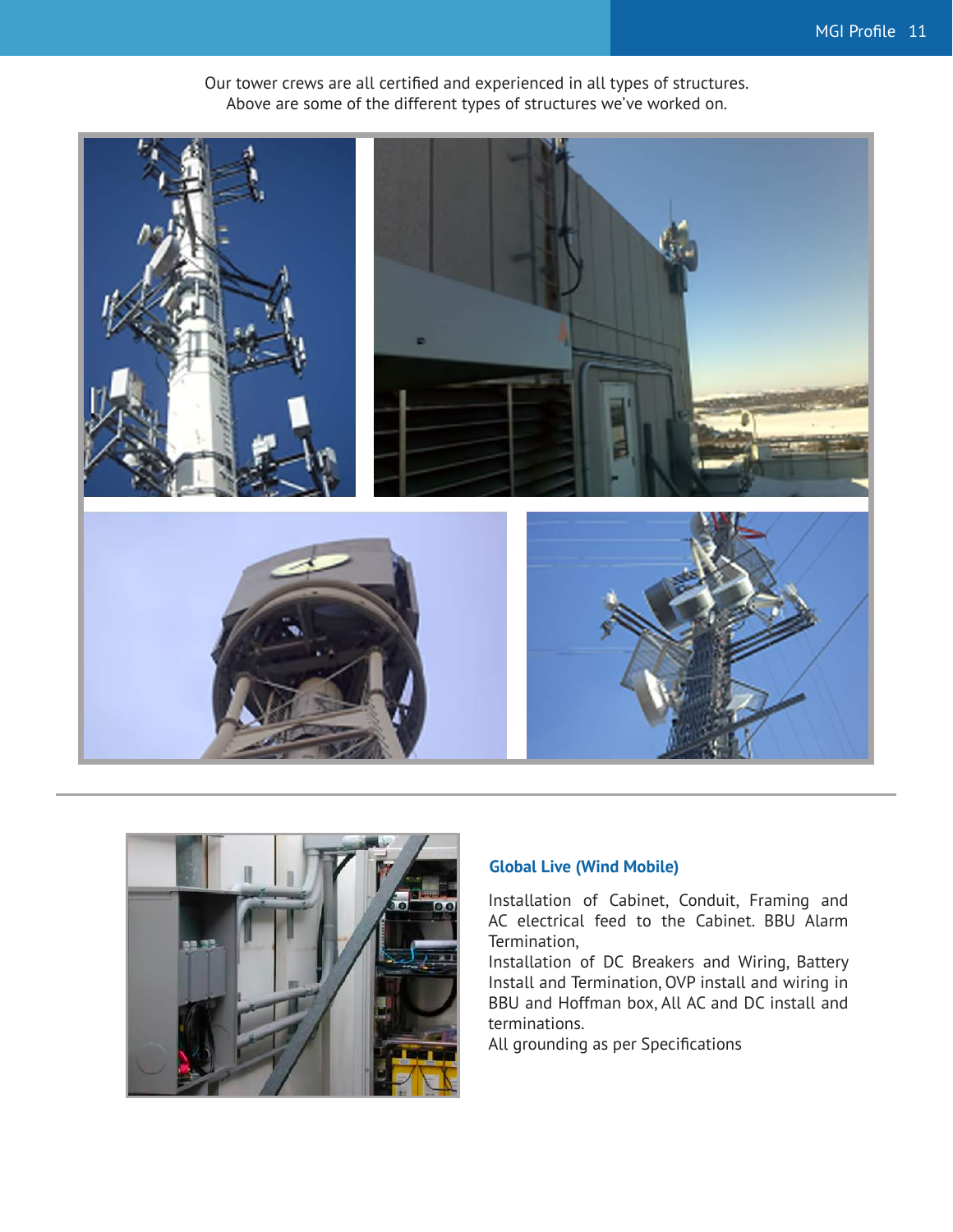

Our tower crews are all certified and experienced in all types of structures. Above are some of the different types of structures we've worked on.



#### **Global Live (Wind Mobile)**

Installation of Cabinet, Conduit, Framing and AC electrical feed to the Cabinet. BBU Alarm Termination,

Installation of DC Breakers and Wiring, Battery Install and Termination, OVP install and wiring in BBU and Hoffman box, All AC and DC install and terminations.

All grounding as per Specifications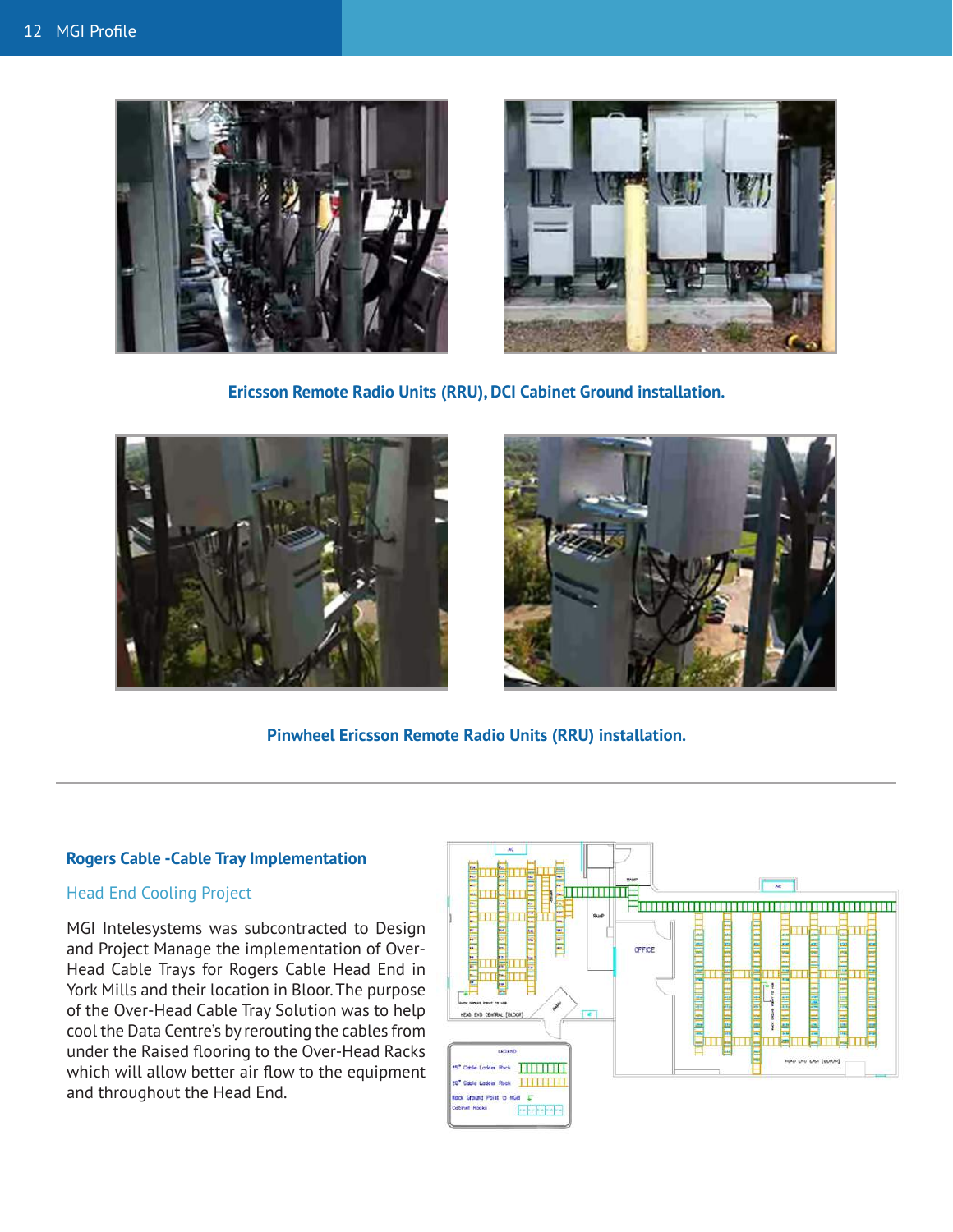



**Ericsson Remote Radio Units (RRU), DCI Cabinet Ground installation.**





**Pinwheel Ericsson Remote Radio Units (RRU) installation.**

#### **Rogers Cable -Cable Tray Implementation**

#### Head End Cooling Project

MGI Intelesystems was subcontracted to Design and Project Manage the implementation of Over-Head Cable Trays for Rogers Cable Head End in York Mills and their location in Bloor. The purpose of the Over-Head Cable Tray Solution was to help cool the Data Centre's by rerouting the cables from under the Raised flooring to the Over-Head Racks which will allow better air flow to the equipment and throughout the Head End.

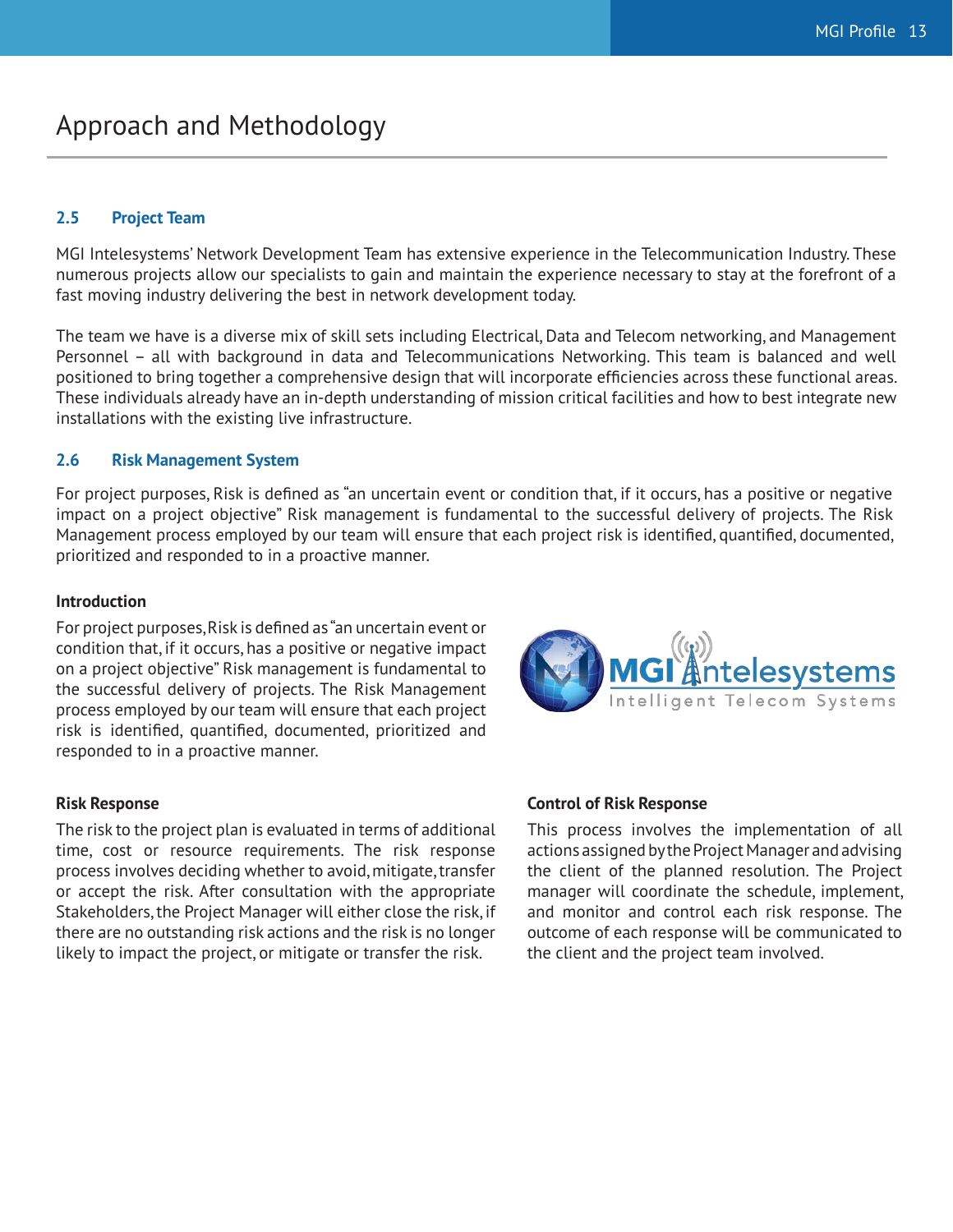### Approach and Methodology

#### **2.5 Project Team**

MGI Intelesystems' Network Development Team has extensive experience in the Telecommunication Industry. These numerous projects allow our specialists to gain and maintain the experience necessary to stay at the forefront of a fast moving industry delivering the best in network development today.

The team we have is a diverse mix of skill sets including Electrical, Data and Telecom networking, and Management Personnel – all with background in data and Telecommunications Networking. This team is balanced and well positioned to bring together a comprehensive design that will incorporate efficiencies across these functional areas. These individuals already have an in-depth understanding of mission critical facilities and how to best integrate new installations with the existing live infrastructure.

#### **2.6 Risk Management System**

For project purposes, Risk is defined as "an uncertain event or condition that, if it occurs, has a positive or negative impact on a project objective" Risk management is fundamental to the successful delivery of projects. The Risk Management process employed by our team will ensure that each project risk is identified, quantified, documented, prioritized and responded to in a proactive manner.

#### **Introduction**

For project purposes, Risk is defined as "an uncertain event or condition that, if it occurs, has a positive or negative impact on a project objective" Risk management is fundamental to the successful delivery of projects. The Risk Management process employed by our team will ensure that each project risk is identified, quantified, documented, prioritized and responded to in a proactive manner.

The risk to the project plan is evaluated in terms of additional time, cost or resource requirements. The risk response process involves deciding whether to avoid, mitigate, transfer or accept the risk. After consultation with the appropriate Stakeholders, the Project Manager will either close the risk, if there are no outstanding risk actions and the risk is no longer likely to impact the project, or mitigate or transfer the risk.



#### **Risk Response Control of Risk Response**

This process involves the implementation of all actions assigned by the Project Manager and advising the client of the planned resolution. The Project manager will coordinate the schedule, implement, and monitor and control each risk response. The outcome of each response will be communicated to the client and the project team involved.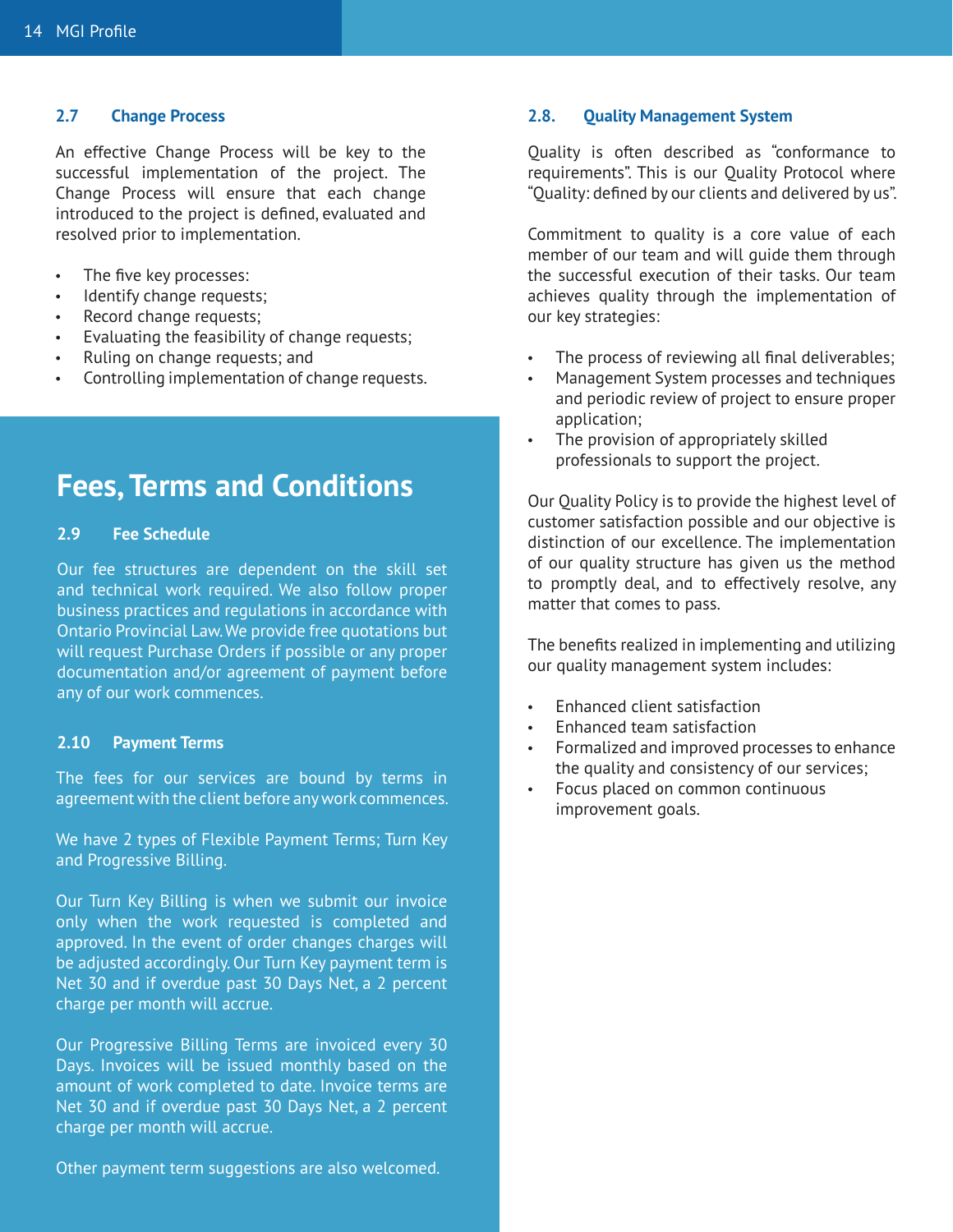An effective Change Process will be key to the successful implementation of the project. The Change Process will ensure that each change introduced to the project is defined, evaluated and resolved prior to implementation.

- The five key processes:
- Identify change requests;
- Record change requests;
- Evaluating the feasibility of change requests;
- Ruling on change requests; and
- Controlling implementation of change requests.

## **Fees, Terms and Conditions**

#### **2.9 Fee Schedule**

Our fee structures are dependent on the skill set and technical work required. We also follow proper business practices and regulations in accordance with Ontario Provincial Law. We provide free quotations but will request Purchase Orders if possible or any proper documentation and/or agreement of payment before any of our work commences.

#### **2.10 Payment Terms**

The fees for our services are bound by terms in agreement with the client before any work commences.

We have 2 types of Flexible Payment Terms; Turn Key and Progressive Billing.

Our Turn Key Billing is when we submit our invoice only when the work requested is completed and approved. In the event of order changes charges will be adjusted accordingly. Our Turn Key payment term is Net 30 and if overdue past 30 Days Net, a 2 percent charge per month will accrue.

Our Progressive Billing Terms are invoiced every 30 Days. Invoices will be issued monthly based on the amount of work completed to date. Invoice terms are Net 30 and if overdue past 30 Days Net, a 2 percent charge per month will accrue.

Other payment term suggestions are also welcomed.

#### **2.7 Change Process 2.8. Quality Management System**

Quality is often described as "conformance to requirements". This is our Quality Protocol where "Quality: defined by our clients and delivered by us".

Commitment to quality is a core value of each member of our team and will guide them through the successful execution of their tasks. Our team achieves quality through the implementation of our key strategies:

- The process of reviewing all final deliverables;
- Management System processes and techniques and periodic review of project to ensure proper application;
- The provision of appropriately skilled professionals to support the project.

Our Quality Policy is to provide the highest level of customer satisfaction possible and our objective is distinction of our excellence. The implementation of our quality structure has given us the method to promptly deal, and to effectively resolve, any matter that comes to pass.

The benefits realized in implementing and utilizing our quality management system includes:

- **Enhanced client satisfaction**
- Enhanced team satisfaction
- Formalized and improved processes to enhance the quality and consistency of our services;
- • Focus placed on common continuous improvement goals.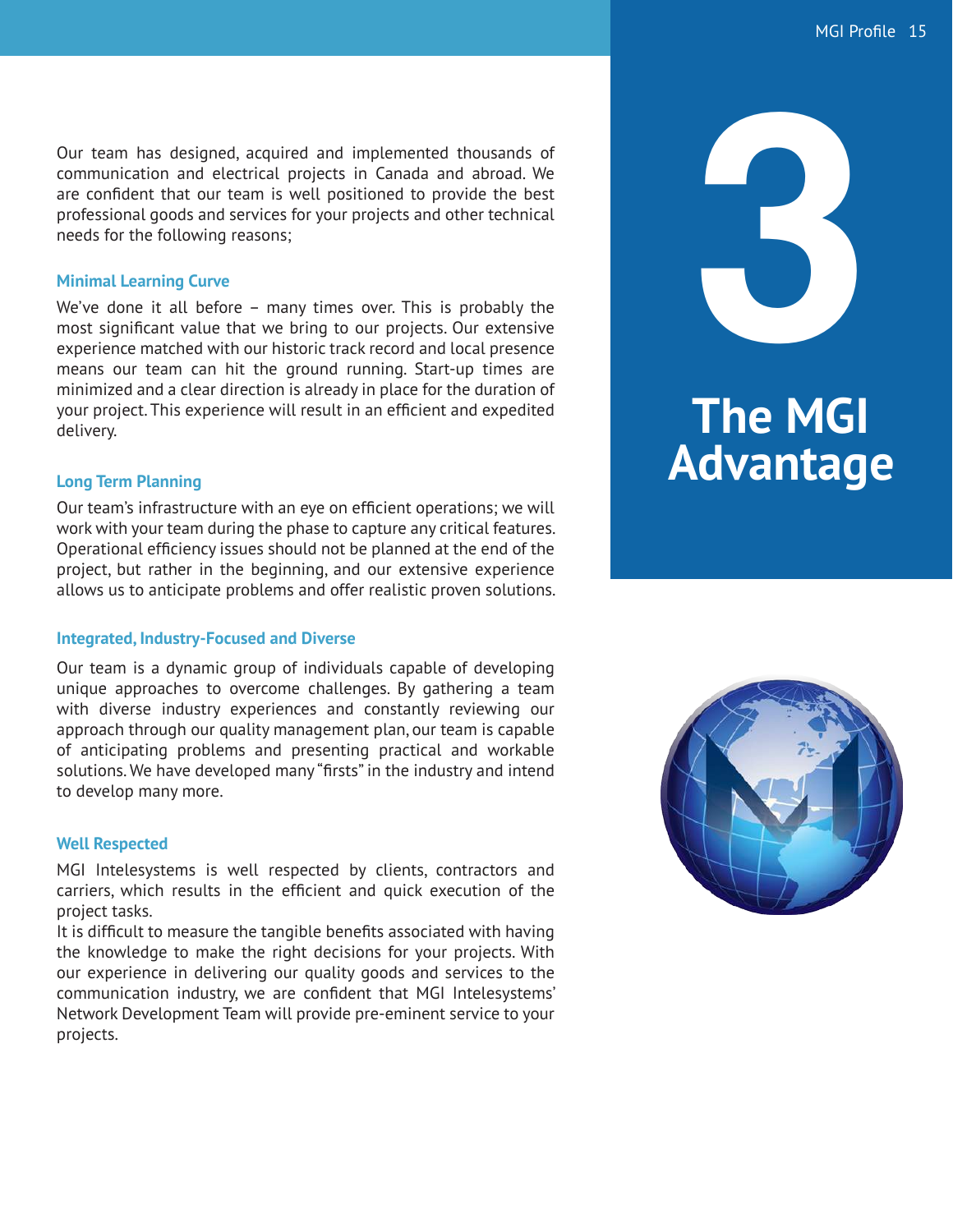Our team has designed, acquired and implemented thousands of communication and electrical projects in Canada and abroad. We are confident that our team is well positioned to provide the best professional goods and services for your projects and other technical needs for the following reasons;

#### **Minimal Learning Curve**

We've done it all before – many times over. This is probably the most significant value that we bring to our projects. Our extensive experience matched with our historic track record and local presence means our team can hit the ground running. Start-up times are minimized and a clear direction is already in place for the duration of your project. This experience will result in an efficient and expedited delivery.

#### **Long Term Planning**

Our team's infrastructure with an eye on efficient operations; we will work with your team during the phase to capture any critical features. Operational efficiency issues should not be planned at the end of the project, but rather in the beginning, and our extensive experience allows us to anticipate problems and offer realistic proven solutions.

#### **Integrated, Industry-Focused and Diverse**

Our team is a dynamic group of individuals capable of developing unique approaches to overcome challenges. By gathering a team with diverse industry experiences and constantly reviewing our approach through our quality management plan, our team is capable of anticipating problems and presenting practical and workable solutions. We have developed many "firsts" in the industry and intend to develop many more.

#### **Well Respected**

MGI Intelesystems is well respected by clients, contractors and carriers, which results in the efficient and quick execution of the project tasks.

It is difficult to measure the tangible benefits associated with having the knowledge to make the right decisions for your projects. With our experience in delivering our quality goods and services to the communication industry, we are confident that MGI Intelesystems' Network Development Team will provide pre-eminent service to your projects.



# **The MGI Advantage**